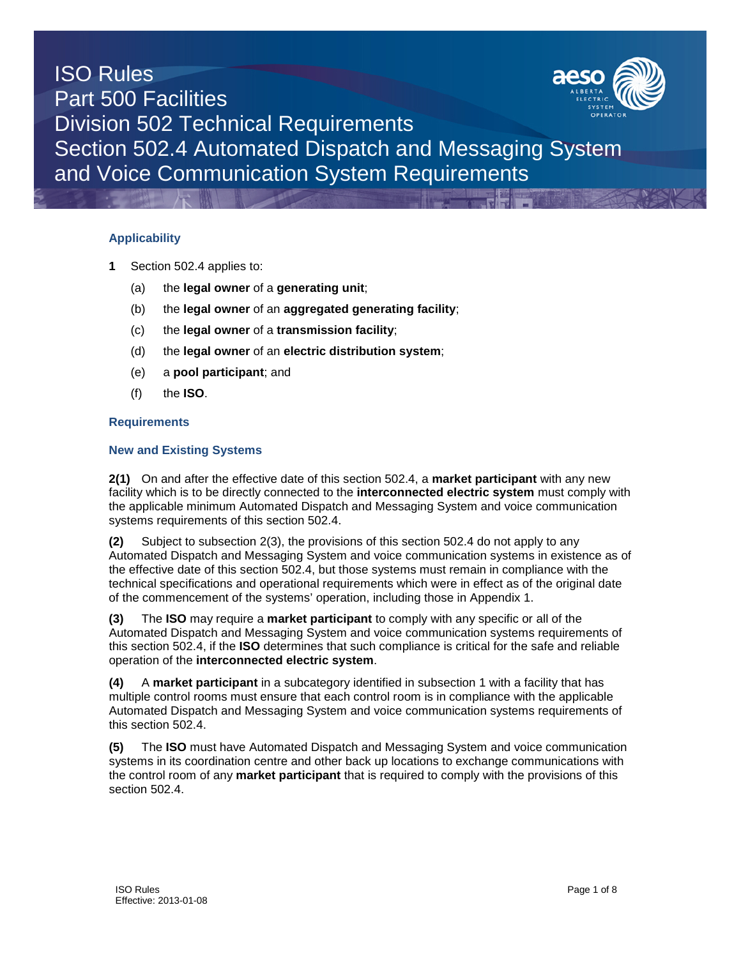# ISO Rules Part 500 Facilities Division 502 Technical Requirements Section 502.4 Automated Dispatch and Messaging System and Voice Communication System Requirements

### **Applicability**

- **1** Section 502.4 applies to:
	- (a) the **legal owner** of a **generating unit**;
	- (b) the **legal owner** of an **aggregated generating facility**;
	- (c) the **legal owner** of a **transmission facility**;
	- (d) the **legal owner** of an **electric distribution system**;
	- (e) a **pool participant**; and
	- (f) the **ISO**.

### **Requirements**

### **New and Existing Systems**

**2(1)** On and after the effective date of this section 502.4, a **market participant** with any new facility which is to be directly connected to the **interconnected electric system** must comply with the applicable minimum Automated Dispatch and Messaging System and voice communication systems requirements of this section 502.4.

**(2)** Subject to subsection 2(3), the provisions of this section 502.4 do not apply to any Automated Dispatch and Messaging System and voice communication systems in existence as of the effective date of this section 502.4, but those systems must remain in compliance with the technical specifications and operational requirements which were in effect as of the original date of the commencement of the systems' operation, including those in Appendix 1.

**(3)** The **ISO** may require a **market participant** to comply with any specific or all of the Automated Dispatch and Messaging System and voice communication systems requirements of this section 502.4, if the **ISO** determines that such compliance is critical for the safe and reliable operation of the **interconnected electric system**.

**(4)** A **market participant** in a subcategory identified in subsection 1 with a facility that has multiple control rooms must ensure that each control room is in compliance with the applicable Automated Dispatch and Messaging System and voice communication systems requirements of this section 502.4.

**(5)** The **ISO** must have Automated Dispatch and Messaging System and voice communication systems in its coordination centre and other back up locations to exchange communications with the control room of any **market participant** that is required to comply with the provisions of this section 502.4.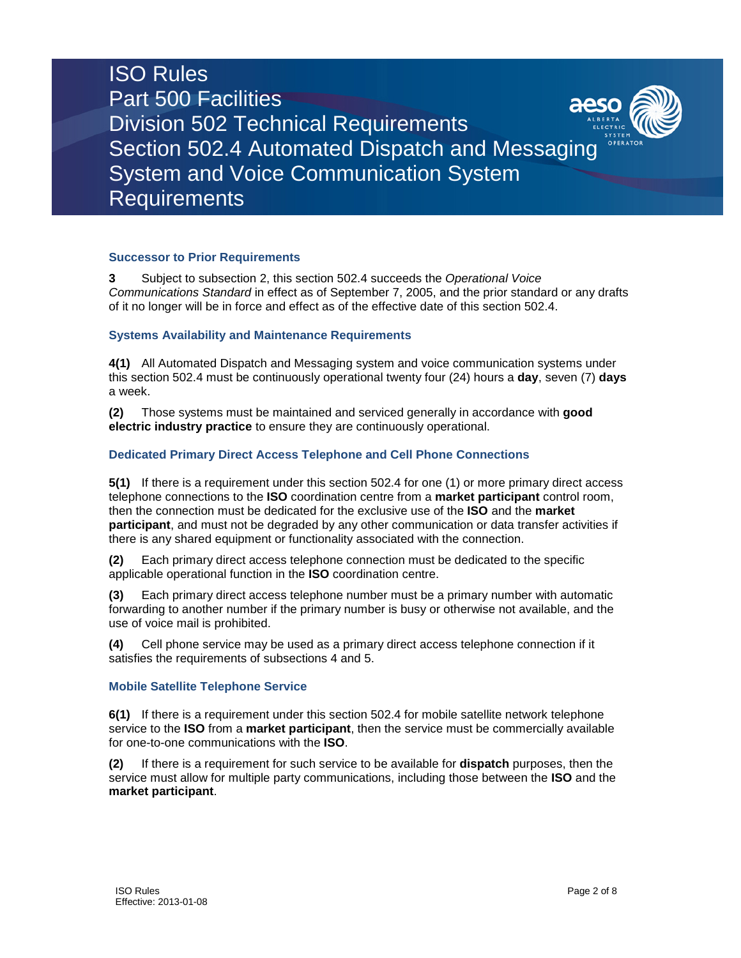# ISO Rules Part 500 Facilities Division 502 Technical Requirements Section 502.4 Automated Dispatch and Messaging System and Voice Communication System Requirements

#### **Successor to Prior Requirements**

**3** Subject to subsection 2, this section 502.4 succeeds the *Operational Voice Communications Standard* in effect as of September 7, 2005, and the prior standard or any drafts of it no longer will be in force and effect as of the effective date of this section 502.4.

### **Systems Availability and Maintenance Requirements**

**4(1)** All Automated Dispatch and Messaging system and voice communication systems under this section 502.4 must be continuously operational twenty four (24) hours a **day**, seven (7) **days**  a week.

**(2)** Those systems must be maintained and serviced generally in accordance with **good electric industry practice** to ensure they are continuously operational.

### **Dedicated Primary Direct Access Telephone and Cell Phone Connections**

**5(1)** If there is a requirement under this section 502.4 for one (1) or more primary direct access telephone connections to the **ISO** coordination centre from a **market participant** control room, then the connection must be dedicated for the exclusive use of the **ISO** and the **market participant**, and must not be degraded by any other communication or data transfer activities if there is any shared equipment or functionality associated with the connection.

**(2)** Each primary direct access telephone connection must be dedicated to the specific applicable operational function in the **ISO** coordination centre.

**(3)** Each primary direct access telephone number must be a primary number with automatic forwarding to another number if the primary number is busy or otherwise not available, and the use of voice mail is prohibited.

**(4)** Cell phone service may be used as a primary direct access telephone connection if it satisfies the requirements of subsections 4 and 5.

#### **Mobile Satellite Telephone Service**

**6(1)** If there is a requirement under this section 502.4 for mobile satellite network telephone service to the **ISO** from a **market participant**, then the service must be commercially available for one-to-one communications with the **ISO**.

**(2)** If there is a requirement for such service to be available for **dispatch** purposes, then the service must allow for multiple party communications, including those between the **ISO** and the **market participant**.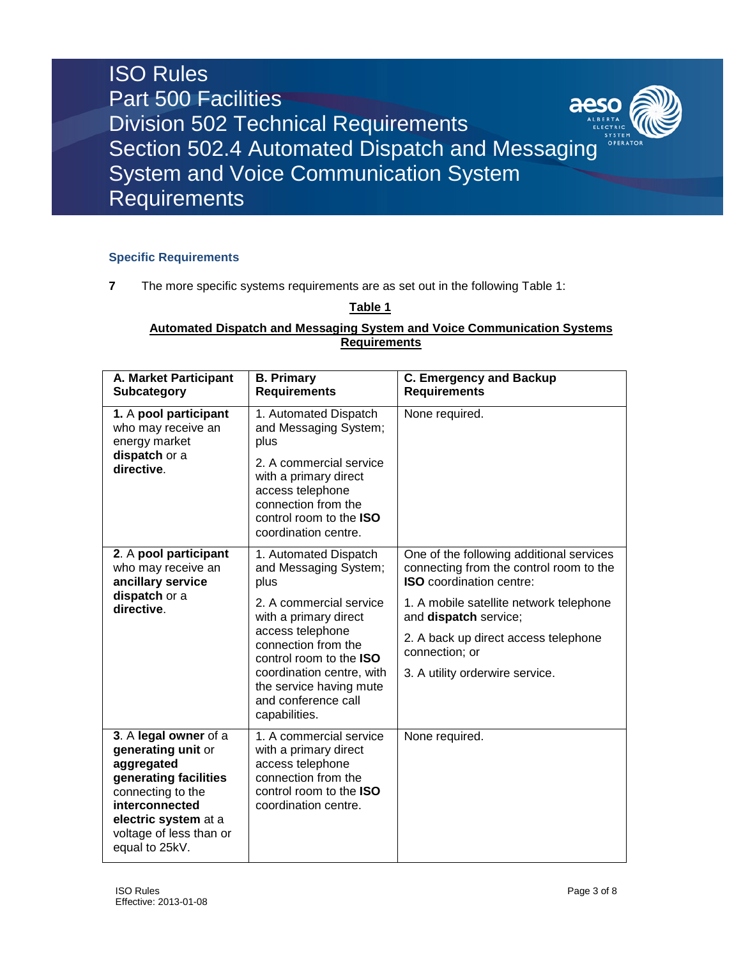

### **Specific Requirements**

**7** The more specific systems requirements are as set out in the following Table 1:

### **Table 1**

### **Automated Dispatch and Messaging System and Voice Communication Systems Requirements**

| A. Market Participant<br>Subcategory                                                                                                                                                           | <b>B. Primary</b><br><b>Requirements</b>                                                                                                                                                                                      | <b>C. Emergency and Backup</b><br><b>Requirements</b>                                                                                                         |  |
|------------------------------------------------------------------------------------------------------------------------------------------------------------------------------------------------|-------------------------------------------------------------------------------------------------------------------------------------------------------------------------------------------------------------------------------|---------------------------------------------------------------------------------------------------------------------------------------------------------------|--|
| 1. A pool participant<br>who may receive an<br>energy market<br>dispatch or a<br>directive.                                                                                                    | 1. Automated Dispatch<br>and Messaging System;<br>plus                                                                                                                                                                        | None required.                                                                                                                                                |  |
|                                                                                                                                                                                                | 2. A commercial service<br>with a primary direct<br>access telephone<br>connection from the<br>control room to the <b>ISO</b><br>coordination centre.                                                                         |                                                                                                                                                               |  |
| 2. A pool participant<br>who may receive an<br>ancillary service<br>dispatch or a<br>directive.                                                                                                | 1. Automated Dispatch<br>and Messaging System;<br>plus                                                                                                                                                                        | One of the following additional services<br>connecting from the control room to the<br><b>ISO</b> coordination centre:                                        |  |
|                                                                                                                                                                                                | 2. A commercial service<br>with a primary direct<br>access telephone<br>connection from the<br>control room to the <b>ISO</b><br>coordination centre, with<br>the service having mute<br>and conference call<br>capabilities. | 1. A mobile satellite network telephone<br>and dispatch service;<br>2. A back up direct access telephone<br>connection; or<br>3. A utility orderwire service. |  |
| 3. A legal owner of a<br>generating unit or<br>aggregated<br>generating facilities<br>connecting to the<br>interconnected<br>electric system at a<br>voltage of less than or<br>equal to 25kV. | 1. A commercial service<br>with a primary direct<br>access telephone<br>connection from the<br>control room to the <b>ISO</b><br>coordination centre.                                                                         | None required.                                                                                                                                                |  |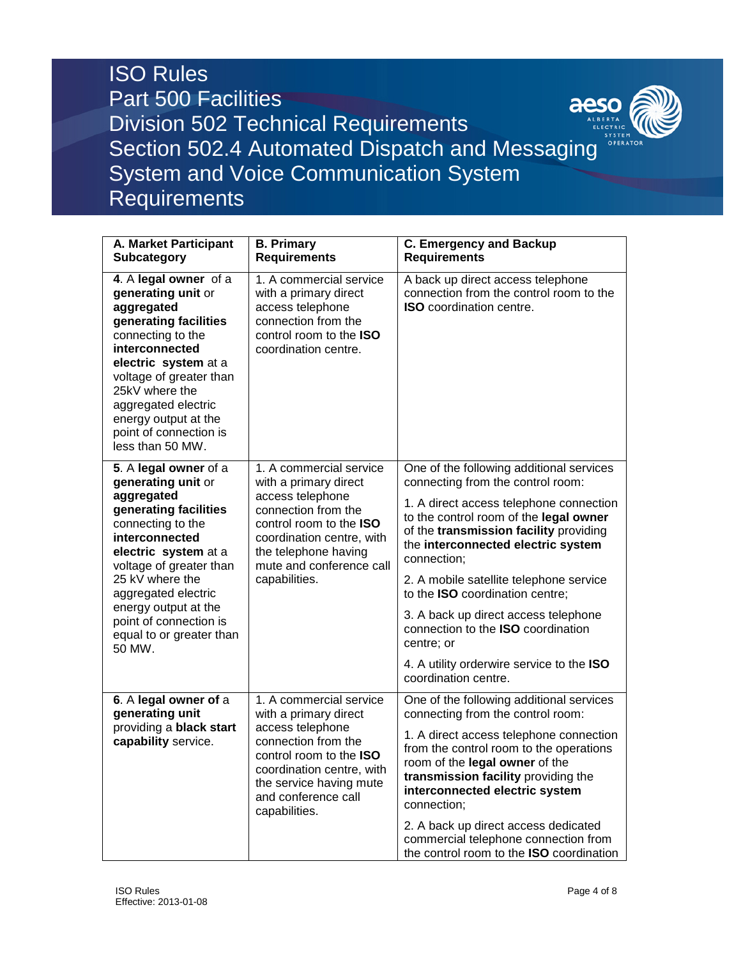## ISO Rules Part 500 Facilities aeso Division 502 Technical Requirements Section 502.4 Automated Dispatch and Messaging System and Voice Communication System Requirements

| A. Market Participant<br><b>Subcategory</b>                                                                                                                                                                                                                                                                    | <b>B. Primary</b><br><b>Requirements</b>                                                                                                                                                                                        | <b>C. Emergency and Backup</b><br><b>Requirements</b>                                                                                                                                                                                                                                                                                                                                                                                                                                                            |  |
|----------------------------------------------------------------------------------------------------------------------------------------------------------------------------------------------------------------------------------------------------------------------------------------------------------------|---------------------------------------------------------------------------------------------------------------------------------------------------------------------------------------------------------------------------------|------------------------------------------------------------------------------------------------------------------------------------------------------------------------------------------------------------------------------------------------------------------------------------------------------------------------------------------------------------------------------------------------------------------------------------------------------------------------------------------------------------------|--|
| 4. A legal owner of a<br>generating unit or<br>aggregated<br>generating facilities<br>connecting to the<br>interconnected<br>electric system at a<br>voltage of greater than<br>25kV where the<br>aggregated electric<br>energy output at the<br>point of connection is<br>less than 50 MW.                    | 1. A commercial service<br>with a primary direct<br>access telephone<br>connection from the<br>control room to the ISO<br>coordination centre.                                                                                  | A back up direct access telephone<br>connection from the control room to the<br><b>ISO</b> coordination centre.                                                                                                                                                                                                                                                                                                                                                                                                  |  |
| 5. A legal owner of a<br>generating unit or<br>aggregated<br>generating facilities<br>connecting to the<br>interconnected<br>electric system at a<br>voltage of greater than<br>25 kV where the<br>aggregated electric<br>energy output at the<br>point of connection is<br>equal to or greater than<br>50 MW. | 1. A commercial service<br>with a primary direct<br>access telephone<br>connection from the<br>control room to the <b>ISO</b><br>coordination centre, with<br>the telephone having<br>mute and conference call<br>capabilities. | One of the following additional services<br>connecting from the control room:<br>1. A direct access telephone connection<br>to the control room of the legal owner<br>of the transmission facility providing<br>the interconnected electric system<br>connection;<br>2. A mobile satellite telephone service<br>to the ISO coordination centre;<br>3. A back up direct access telephone<br>connection to the ISO coordination<br>centre; or<br>4. A utility orderwire service to the ISO<br>coordination centre. |  |
| 6. A legal owner of a<br>generating unit<br>providing a black start<br>capability service.                                                                                                                                                                                                                     | 1. A commercial service<br>with a primary direct<br>access telephone<br>connection from the<br>control room to the <b>ISO</b><br>coordination centre, with<br>the service having mute<br>and conference call<br>capabilities.   | One of the following additional services<br>connecting from the control room:<br>1. A direct access telephone connection<br>from the control room to the operations<br>room of the legal owner of the<br>transmission facility providing the<br>interconnected electric system<br>connection;<br>2. A back up direct access dedicated<br>commercial telephone connection from<br>the control room to the ISO coordination                                                                                        |  |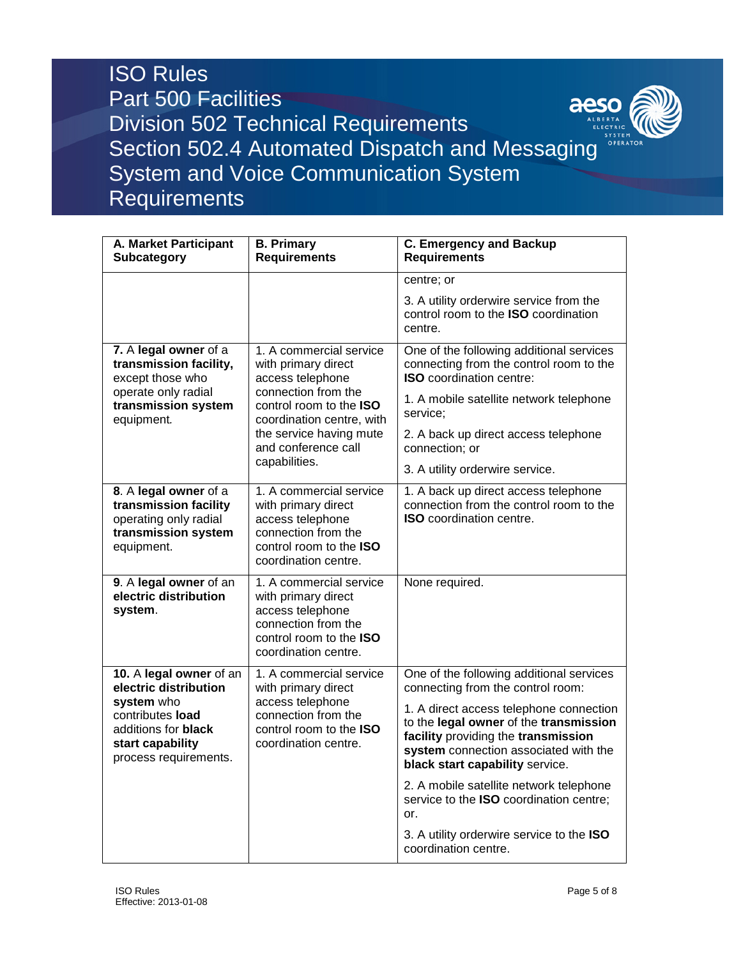## ISO Rules Part 500 Facilities aeso Division 502 Technical Requirements Section 502.4 Automated Dispatch and Messaging System and Voice Communication System Requirements

| A. Market Participant<br><b>Subcategory</b>                                                                                                            | <b>B. Primary</b><br><b>Requirements</b>                                                                                                                                                                                    | <b>C. Emergency and Backup</b><br><b>Requirements</b>                                                                                                                                                                                                                                 |
|--------------------------------------------------------------------------------------------------------------------------------------------------------|-----------------------------------------------------------------------------------------------------------------------------------------------------------------------------------------------------------------------------|---------------------------------------------------------------------------------------------------------------------------------------------------------------------------------------------------------------------------------------------------------------------------------------|
|                                                                                                                                                        |                                                                                                                                                                                                                             | centre; or                                                                                                                                                                                                                                                                            |
|                                                                                                                                                        |                                                                                                                                                                                                                             | 3. A utility orderwire service from the<br>control room to the ISO coordination<br>centre.                                                                                                                                                                                            |
| 7. A legal owner of a<br>transmission facility,<br>except those who<br>operate only radial<br>transmission system                                      | 1. A commercial service<br>with primary direct<br>access telephone<br>connection from the<br>control room to the <b>ISO</b><br>coordination centre, with<br>the service having mute<br>and conference call<br>capabilities. | One of the following additional services<br>connecting from the control room to the<br><b>ISO</b> coordination centre:<br>1. A mobile satellite network telephone                                                                                                                     |
| equipment.                                                                                                                                             |                                                                                                                                                                                                                             | service;<br>2. A back up direct access telephone<br>connection; or<br>3. A utility orderwire service.                                                                                                                                                                                 |
| 8. A legal owner of a<br>transmission facility<br>operating only radial<br>transmission system<br>equipment.                                           | 1. A commercial service<br>with primary direct<br>access telephone<br>connection from the<br>control room to the <b>ISO</b><br>coordination centre.                                                                         | 1. A back up direct access telephone<br>connection from the control room to the<br><b>ISO</b> coordination centre.                                                                                                                                                                    |
| 9. A legal owner of an<br>electric distribution<br>system.                                                                                             | 1. A commercial service<br>with primary direct<br>access telephone<br>connection from the<br>control room to the <b>ISO</b><br>coordination centre.                                                                         | None required.                                                                                                                                                                                                                                                                        |
| 10. A legal owner of an<br>electric distribution<br>system who<br>contributes load<br>additions for black<br>start capability<br>process requirements. | 1. A commercial service<br>with primary direct<br>access telephone<br>connection from the<br>control room to the ISO<br>coordination centre.                                                                                | One of the following additional services<br>connecting from the control room:<br>1. A direct access telephone connection<br>to the legal owner of the transmission<br>facility providing the transmission<br>system connection associated with the<br>black start capability service. |
|                                                                                                                                                        |                                                                                                                                                                                                                             | 2. A mobile satellite network telephone<br>service to the ISO coordination centre;<br>or.                                                                                                                                                                                             |
|                                                                                                                                                        |                                                                                                                                                                                                                             | 3. A utility orderwire service to the ISO<br>coordination centre.                                                                                                                                                                                                                     |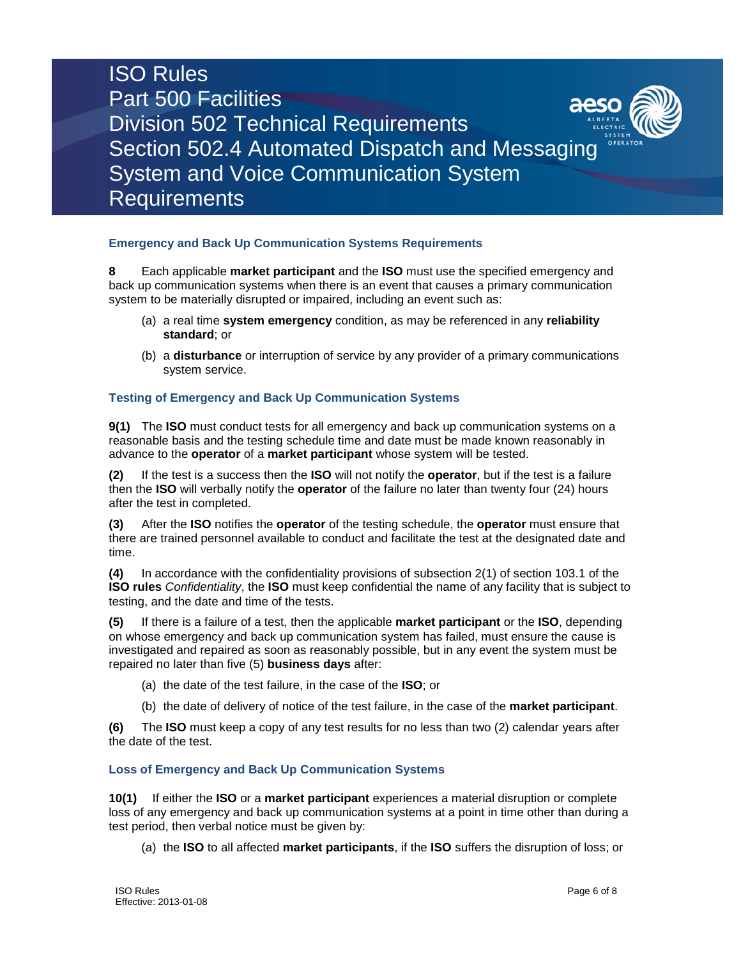# ISO Rules Part 500 Facilities Division 502 Technical Requirements Section 502.4 Automated Dispatch and Messaging System and Voice Communication System Requirements

### **Emergency and Back Up Communication Systems Requirements**

**8** Each applicable **market participant** and the **ISO** must use the specified emergency and back up communication systems when there is an event that causes a primary communication system to be materially disrupted or impaired, including an event such as:

- (a) a real time **system emergency** condition, as may be referenced in any **reliability standard**; or
- (b) a **disturbance** or interruption of service by any provider of a primary communications system service.

### **Testing of Emergency and Back Up Communication Systems**

**9(1)** The **ISO** must conduct tests for all emergency and back up communication systems on a reasonable basis and the testing schedule time and date must be made known reasonably in advance to the **operator** of a **market participant** whose system will be tested.

**(2)** If the test is a success then the **ISO** will not notify the **operator**, but if the test is a failure then the **ISO** will verbally notify the **operator** of the failure no later than twenty four (24) hours after the test in completed.

**(3)** After the **ISO** notifies the **operator** of the testing schedule, the **operator** must ensure that there are trained personnel available to conduct and facilitate the test at the designated date and time.

**(4)** In accordance with the confidentiality provisions of subsection 2(1) of section 103.1 of the **ISO rules** *Confidentiality*, the **ISO** must keep confidential the name of any facility that is subject to testing, and the date and time of the tests.

**(5)** If there is a failure of a test, then the applicable **market participant** or the **ISO**, depending on whose emergency and back up communication system has failed, must ensure the cause is investigated and repaired as soon as reasonably possible, but in any event the system must be repaired no later than five (5) **business days** after:

- (a) the date of the test failure, in the case of the **ISO**; or
- (b) the date of delivery of notice of the test failure, in the case of the **market participant**.

**(6)** The **ISO** must keep a copy of any test results for no less than two (2) calendar years after the date of the test.

### **Loss of Emergency and Back Up Communication Systems**

**10(1)** If either the **ISO** or a **market participant** experiences a material disruption or complete loss of any emergency and back up communication systems at a point in time other than during a test period, then verbal notice must be given by:

(a) the **ISO** to all affected **market participants**, if the **ISO** suffers the disruption of loss; or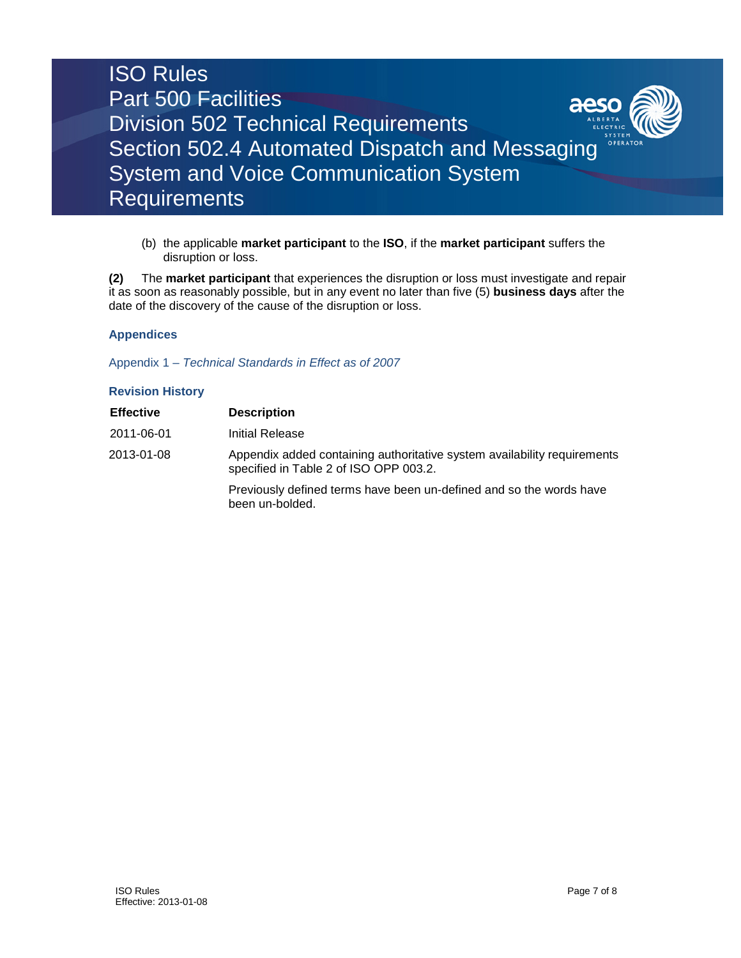

(b) the applicable **market participant** to the **ISO**, if the **market participant** suffers the disruption or loss.

**(2)** The **market participant** that experiences the disruption or loss must investigate and repair it as soon as reasonably possible, but in any event no later than five (5) **business days** after the date of the discovery of the cause of the disruption or loss.

### **Appendices**

Appendix 1 – *Technical Standards in Effect as of 2007*

### **Revision History**

| <b>Effective</b> | <b>Description</b>                                                                                                 |
|------------------|--------------------------------------------------------------------------------------------------------------------|
| 2011-06-01       | Initial Release                                                                                                    |
| 2013-01-08       | Appendix added containing authoritative system availability requirements<br>specified in Table 2 of ISO OPP 003.2. |
|                  | Previously defined terms have been un-defined and so the words have<br>been un-bolded.                             |